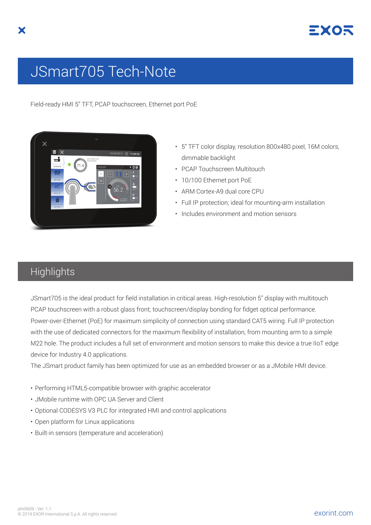

## JSmart705 Tech-Note

Field-ready HMI 5" TFT, PCAP touchscreen, Ethernet port PoE



- 5" TFT color display, resolution 800x480 pixel, 16M colors, dimmable backlight
- PCAP Touchscreen Multitouch
- 10/100 Ethernet port PoE
- ARM Cortex-A9 dual core CPU
- Full IP protection; ideal for mounting-arm installation
- Includes environment and motion sensors

## **Highlights**

JSmart705 is the ideal product for field installation in critical areas. High-resolution 5" display with multitouch PCAP touchscreen with a robust glass front; touchscreen/display bonding for fidget optical performance. Power-over-Ethernet (PoE) for maximum simplicity of connection using standard CAT5 wiring. Full IP protection with the use of dedicated connectors for the maximum flexibility of installation, from mounting arm to a simple M22 hole. The product includes a full set of environment and motion sensors to make this device a true IIoT edge device for Industry 4.0 applications.

The JSmart product family has been optimized for use as an embedded browser or as a JMobile HMI device.

- Performing HTML5-compatible browser with graphic accelerator
- JMobile runtime with OPC UA Server and Client
- Optional CODESYS V3 PLC for integrated HMI and control applications
- Open platform for Linux applications
- Built-in sensors (temperature and acceleration)